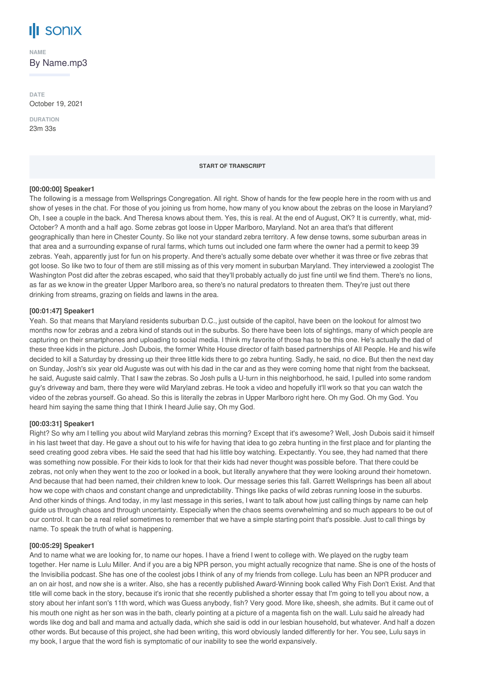

**NAME**

By Name.mp3

**DATE** October 19, 2021

**DURATION** 23m 33s

#### **START OF TRANSCRIPT**

#### **[00:00:00] Speaker1**

The following is a message from Wellsprings Congregation. All right. Show of hands for the few people here in the room with us and show of yeses in the chat. For those of you joining us from home, how many of you know about the zebras on the loose in Maryland? Oh, I see a couple in the back. And Theresa knows about them. Yes, this is real. At the end of August, OK? It is currently, what, mid-October? A month and a half ago. Some zebras got loose in Upper Marlboro, Maryland. Not an area that's that different geographically than here in Chester County. So like not your standard zebra territory. A few dense towns, some suburban areas in that area and a surrounding expanse of rural farms, which turns out included one farm where the owner had a permit to keep 39 zebras. Yeah, apparently just for fun on his property. And there's actually some debate over whether it was three or five zebras that got loose. So like two to four of them are still missing as of this very moment in suburban Maryland. They interviewed a zoologist The Washington Post did after the zebras escaped, who said that they'll probably actually do just fine until we find them. There's no lions, as far as we know in the greater Upper Marlboro area, so there's no natural predators to threaten them. They're just out there drinking from streams, grazing on fields and lawns in the area.

## **[00:01:47] Speaker1**

Yeah. So that means that Maryland residents suburban D.C., just outside of the capitol, have been on the lookout for almost two months now for zebras and a zebra kind of stands out in the suburbs. So there have been lots of sightings, many of which people are capturing on their smartphones and uploading to social media. I think my favorite of those has to be this one. He's actually the dad of these three kids in the picture. Josh Dubois, the former White House director of faith based partnerships of All People. He and his wife decided to kill a Saturday by dressing up their three little kids there to go zebra hunting. Sadly, he said, no dice. But then the next day on Sunday, Josh's six year old Auguste was out with his dad in the car and as they were coming home that night from the backseat, he said, Auguste said calmly. That I saw the zebras. So Josh pulls a U-turn in this neighborhood, he said, I pulled into some random guy's driveway and bam, there they were wild Maryland zebras. He took a video and hopefully it'll work so that you can watch the video of the zebras yourself. Go ahead. So this is literally the zebras in Upper Marlboro right here. Oh my God. Oh my God. You heard him saying the same thing that I think I heard Julie say, Oh my God.

#### **[00:03:31] Speaker1**

Right? So why am I telling you about wild Maryland zebras this morning? Except that it's awesome? Well, Josh Dubois said it himself in his last tweet that day. He gave a shout out to his wife for having that idea to go zebra hunting in the first place and for planting the seed creating good zebra vibes. He said the seed that had his little boy watching. Expectantly. You see, they had named that there was something now possible. For their kids to look for that their kids had never thought was possible before. That there could be zebras, not only when they went to the zoo or looked in a book, but literally anywhere that they were looking around their hometown. And because that had been named, their children knew to look. Our message series this fall. Garrett Wellsprings has been all about how we cope with chaos and constant change and unpredictability. Things like packs of wild zebras running loose in the suburbs. And other kinds of things. And today, in my last message in this series, I want to talk about how just calling things by name can help guide us through chaos and through uncertainty. Especially when the chaos seems overwhelming and so much appears to be out of our control. It can be a real relief sometimes to remember that we have a simple starting point that's possible. Just to call things by name. To speak the truth of what is happening.

#### **[00:05:29] Speaker1**

And to name what we are looking for, to name our hopes. I have a friend I went to college with. We played on the rugby team together. Her name is Lulu Miller. And if you are a big NPR person, you might actually recognize that name. She is one of the hosts of the Invisibilia podcast. She has one of the coolest jobs I think of any of my friends from college. Lulu has been an NPR producer and an on air host, and now she is a writer. Also, she has a recently published Award-Winning book called Why Fish Don't Exist. And that title will come back in the story, because it's ironic that she recently published a shorter essay that I'm going to tell you about now, a story about her infant son's 11th word, which was Guess anybody, fish? Very good. More like, sheesh, she admits. But it came out of his mouth one night as her son was in the bath, clearly pointing at a picture of a magenta fish on the wall. Lulu said he already had words like dog and ball and mama and actually dada, which she said is odd in our lesbian household, but whatever. And half a dozen other words. But because of this project, she had been writing, this word obviously landed differently for her. You see, Lulu says in my book, I argue that the word fish is symptomatic of our inability to see the world expansively.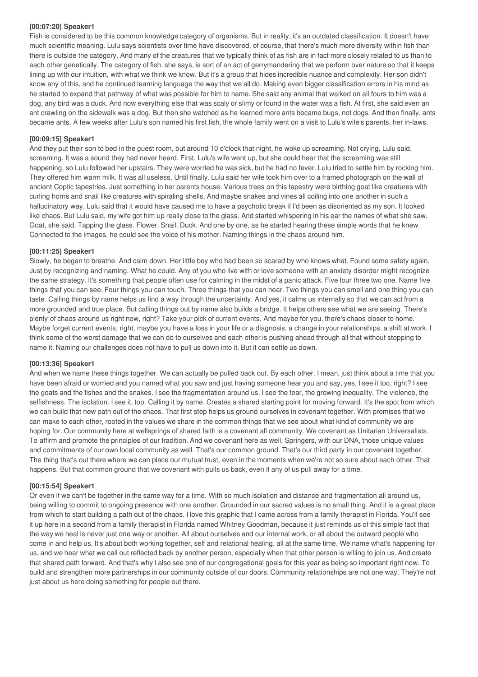# **[00:07:20] Speaker1**

Fish is considered to be this common knowledge category of organisms. But in reality, it's an outdated classification. It doesn't have much scientific meaning. Lulu says scientists over time have discovered, of course, that there's much more diversity within fish than there is outside the category. And many of the creatures that we typically think of as fish are in fact more closely related to us than to each other genetically. The category of fish, she says, is sort of an act of gerrymandering that we perform over nature so that it keeps lining up with our intuition, with what we think we know. But it's a group that hides incredible nuance and complexity. Her son didn't know any of this, and he continued learning language the way that we all do. Making even bigger classification errors in his mind as he started to expand that pathway of what was possible for him to name. She said any animal that walked on all fours to him was a dog, any bird was a duck. And now everything else that was scaly or slimy or found in the water was a fish. At first, she said even an ant crawling on the sidewalk was a dog. But then she watched as he learned more ants became bugs, not dogs. And then finally, ants became ants. A few weeks after Lulu's son named his first fish, the whole family went on a visit to Lulu's wife's parents, her in-laws.

# **[00:09:15] Speaker1**

And they put their son to bed in the guest room, but around 10 o'clock that night, he woke up screaming. Not crying, Lulu said, screaming. It was a sound they had never heard. First, Lulu's wife went up, but she could hear that the screaming was still happening, so Lulu followed her upstairs. They were worried he was sick, but he had no fever. Lulu tried to settle him by rocking him. They offered him warm milk. It was all useless. Until finally. Lulu said her wife took him over to a framed photograph on the wall of ancient Coptic tapestries. Just something in her parents house. Various trees on this tapestry were birthing goat like creatures with curling horns and snail like creatures with spiraling shells. And maybe snakes and vines all coiling into one another in such a hallucinatory way, Lulu said that it would have caused me to have a psychotic break if I'd been as disoriented as my son. It looked like chaos. But Lulu said, my wife got him up really close to the glass. And started whispering in his ear the names of what she saw. Goat, she said. Tapping the glass. Flower. Snail. Duck. And one by one, as he started hearing these simple words that he knew. Connected to the images, he could see the voice of his mother. Naming things in the chaos around him.

# **[00:11:25] Speaker1**

Slowly, he began to breathe. And calm down. Her little boy who had been so scared by who knows what. Found some safety again. Just by recognizing and naming. What he could. Any of you who live with or love someone with an anxiety disorder might recognize the same strategy. It's something that people often use for calming in the midst of a panic attack. Five four three two one. Name five things that you can see. Four things you can touch. Three things that you can hear. Two things you can smell and one thing you can taste. Calling things by name helps us find a way through the uncertainty. And yes, it calms us internally so that we can act from a more grounded and true place. But calling things out by name also builds a bridge. It helps others see what we are seeing. There's plenty of chaos around us right now, right? Take your pick of current events. And maybe for you, there's chaos closer to home. Maybe forget current events, right, maybe you have a loss in your life or a diagnosis, a change in your relationships, a shift at work. I think some of the worst damage that we can do to ourselves and each other is pushing ahead through all that without stopping to name it. Naming our challenges does not have to pull us down into it. But it can settle us down.

## **[00:13:36] Speaker1**

And when we name these things together. We can actually be pulled back out. By each other. I mean, just think about a time that you have been afraid or worried and you named what you saw and just having someone hear you and say, yes, I see it too, right? I see the goats and the fishes and the snakes. I see the fragmentation around us. I see the fear, the growing inequality. The violence, the selfishness. The isolation. I see it, too. Calling it by name. Creates a shared starting point for moving forward. It's the spot from which we can build that new path out of the chaos. That first step helps us ground ourselves in covenant together. With promises that we can make to each other, rooted in the values we share in the common things that we see about what kind of community we are hoping for. Our community here at wellsprings of shared faith is a covenant all community. We covenant as Unitarian Universalists. To affirm and promote the principles of our tradition. And we covenant here as well, Springers, with our DNA, those unique values and commitments of our own local community as well. That's our common ground. That's our third party in our covenant together. The thing that's out there where we can place our mutual trust, even in the moments when we're not so sure about each other. That happens. But that common ground that we covenant with pulls us back, even if any of us pull away for a time.

## **[00:15:54] Speaker1**

Or even if we can't be together in the same way for a time. With so much isolation and distance and fragmentation all around us, being willing to commit to ongoing presence with one another. Grounded in our sacred values is no small thing. And it is a great place from which to start building a path out of the chaos. I love this graphic that I came across from a family therapist in Florida. You'll see it up here in a second from a family therapist in Florida named Whitney Goodman, because it just reminds us of this simple fact that the way we heal is never just one way or another. All about ourselves and our internal work, or all about the outward people who come in and help us. It's about both working together, self and relational healing, all at the same time. We name what's happening for us, and we hear what we call out reflected back by another person, especially when that other person is willing to join us. And create that shared path forward. And that's why I also see one of our congregational goals for this year as being so important right now. To build and strengthen more partnerships in our community outside of our doors. Community relationships are not one way. They're not just about us here doing something for people out there.